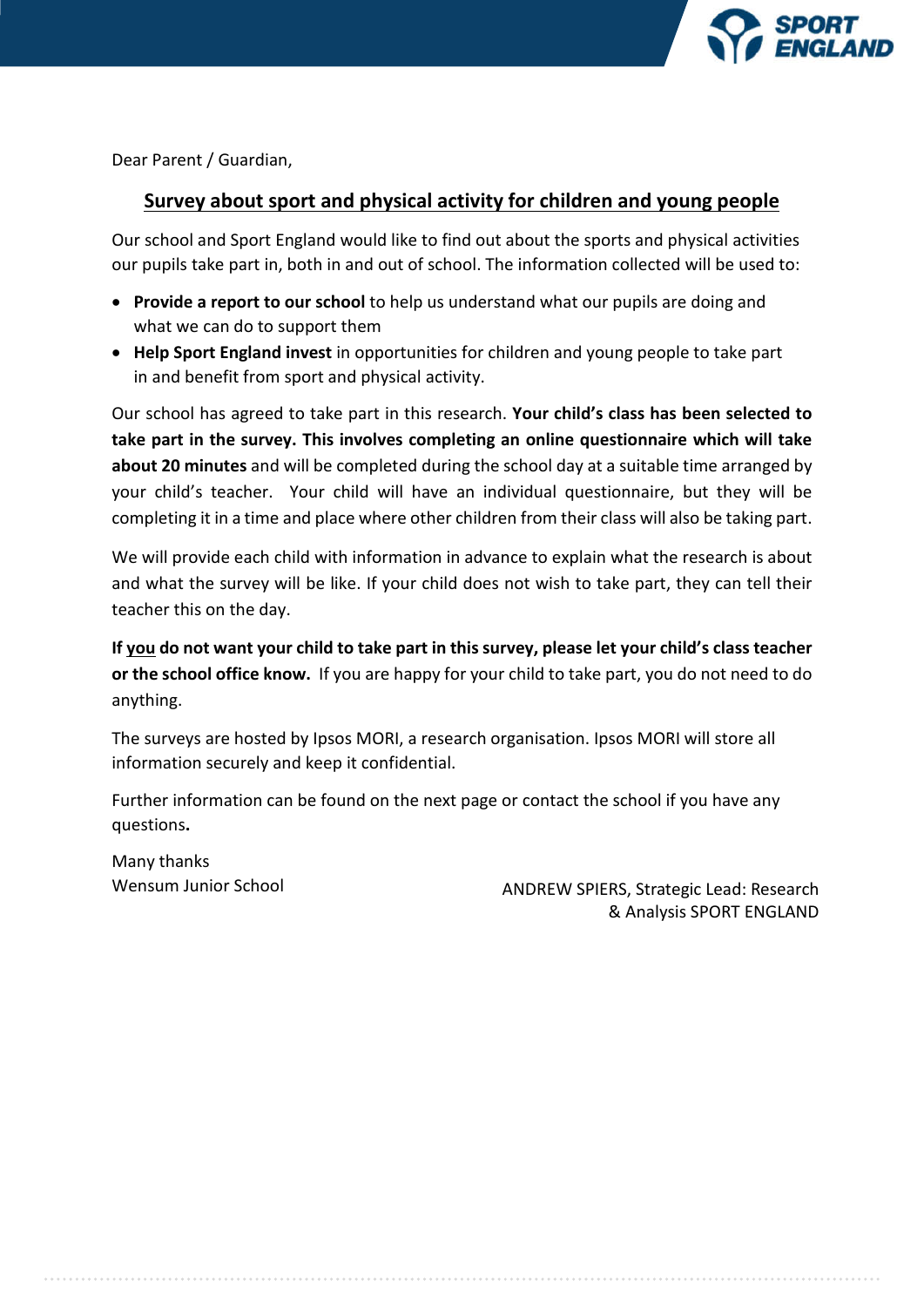

Dear Parent / Guardian,

# **Survey about sport and physical activity for children and young people**

Our school and Sport England would like to find out about the sports and physical activities our pupils take part in, both in and out of school. The information collected will be used to:

- **Provide a report to our school** to help us understand what our pupils are doing and what we can do to support them
- **Help Sport England invest** in opportunities for children and young people to take part in and benefit from sport and physical activity.

Our school has agreed to take part in this research. **Your child's class has been selected to take part in the survey. This involves completing an online questionnaire which will take about 20 minutes** and will be completed during the school day at a suitable time arranged by your child's teacher. Your child will have an individual questionnaire, but they will be completing it in a time and place where other children from their class will also be taking part.

We will provide each child with information in advance to explain what the research is about and what the survey will be like. If your child does not wish to take part, they can tell their teacher this on the day.

**If you do not want your child to take part in this survey, please let your child's class teacher or the school office know.** If you are happy for your child to take part, you do not need to do anything.

The surveys are hosted by Ipsos MORI, a research organisation. Ipsos MORI will store all information securely and keep it confidential.

Further information can be found on the next page or contact the school if you have any questions**.** 

Many thanks

Wensum Junior School **ANDREW SPIERS, Strategic Lead: Research** & Analysis SPORT ENGLAND